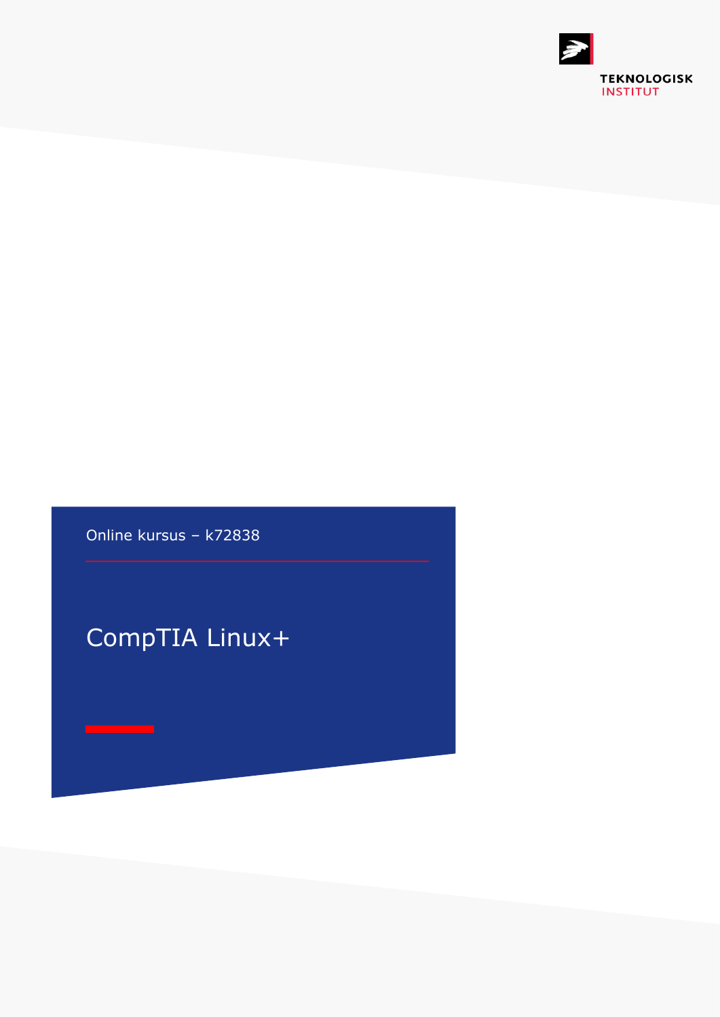

Online kursus – k72838

## CompTIA Linux+